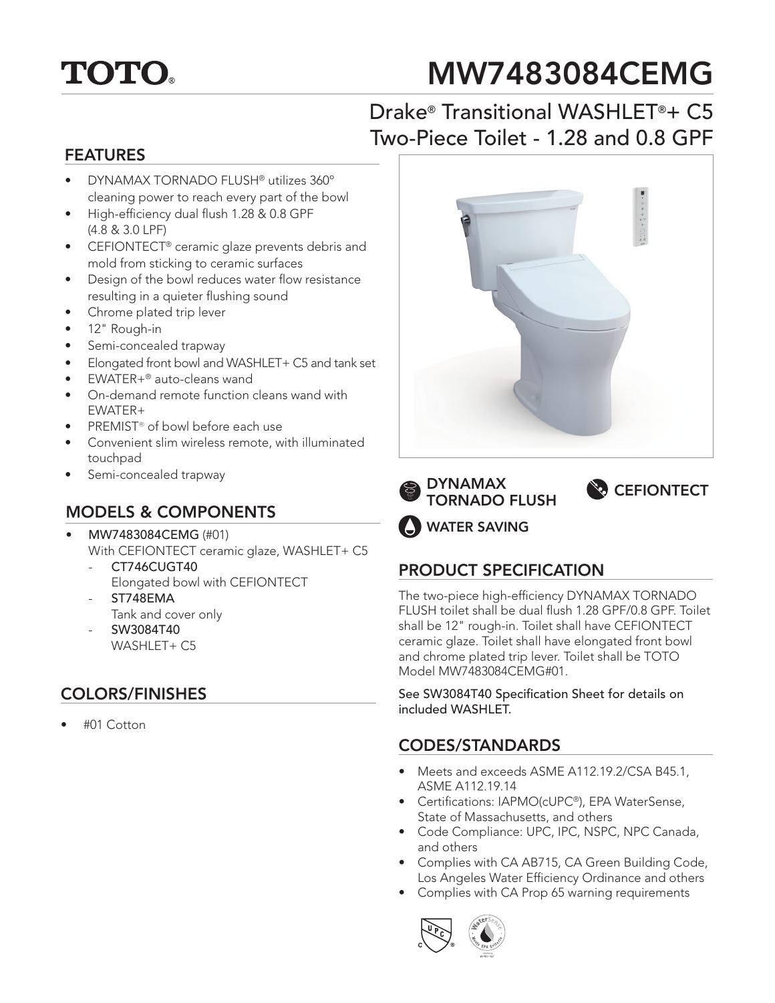

# MW7483084CEMG

# Drake® Transitional WASHLET®+ C5 Two-Piece Toilet - 1.28 and 0.8 GPF

#### FEATURES

- DYNAMAX TORNADO FLUSH® utilizes 360º cleaning power to reach every part of the bowl
- High-efficiency dual flush 1.28 & 0.8 GPF (4.8 & 3.0 LPF)
- CEFIONTECT® ceramic glaze prevents debris and mold from sticking to ceramic surfaces
- Design of the bowl reduces water flow resistance resulting in a quieter flushing sound
- Chrome plated trip lever
- 12" Rough-in
- Semi-concealed trapway
- Elongated front bowl and WASHLET+ C5 and tank set
- EWATER+® auto-cleans wand
- On-demand remote function cleans wand with EWATER+
- PREMIST® of bowl before each use
- Convenient slim wireless remote, with illuminated touchpad
- Semi-concealed trapway

#### MODELS & COMPONENTS

- MW7483084CEMG (#01) With CEFIONTECT ceramic glaze, WASHLET+ C5
	- CT746CUGT40 Elongated bowl with CEFIONTECT ST748EMA
	- Tank and cover only - SW3084T40
	- WASHLET+ C5

## COLORS/FINISHES

• #01 Cotton







WATER SAVING

## PRODUCT SPECIFICATION

The two-piece high-efficiency DYNAMAX TORNADO FLUSH toilet shall be dual flush 1.28 GPF/0.8 GPF. Toilet shall be 12" rough-in. Toilet shall have CEFIONTECT ceramic glaze. Toilet shall have elongated front bowl and chrome plated trip lever. Toilet shall be TOTO Model MW7483084CEMG#01.

See SW3084T40 Specification Sheet for details on included WASHLET.

#### CODES/STANDARDS

- Meets and exceeds ASME A112.19.2/CSA B45.1, ASME A112.19.14
- Certifications: IAPMO(cUPC®), EPA WaterSense, State of Massachusetts, and others
- Code Compliance: UPC, IPC, NSPC, NPC Canada, and others
- Complies with CA AB715, CA Green Building Code, Los Angeles Water Efficiency Ordinance and others
- Complies with CA Prop 65 warning requirements